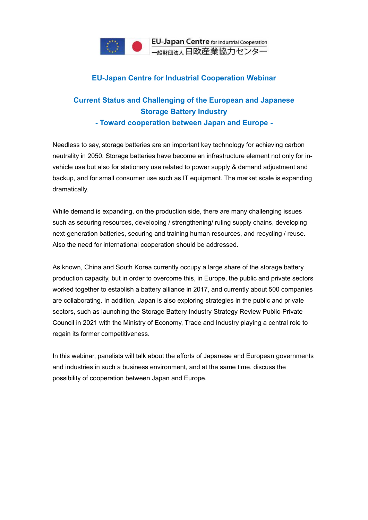

## **EU-Japan Centre for Industrial Cooperation Webinar**

## **Current Status and Challenging of the European and Japanese Storage Battery Industry**

**- Toward cooperation between Japan and Europe -**

Needless to say, storage batteries are an important key technology for achieving carbon neutrality in 2050. Storage batteries have become an infrastructure element not only for invehicle use but also for stationary use related to power supply & demand adjustment and backup, and for small consumer use such as IT equipment. The market scale is expanding dramatically.

While demand is expanding, on the production side, there are many challenging issues such as securing resources, developing / strengthening/ ruling supply chains, developing next-generation batteries, securing and training human resources, and recycling / reuse. Also the need for international cooperation should be addressed.

As known, China and South Korea currently occupy a large share of the storage battery production capacity, but in order to overcome this, in Europe, the public and private sectors worked together to establish a battery alliance in 2017, and currently about 500 companies are collaborating. In addition, Japan is also exploring strategies in the public and private sectors, such as launching the Storage Battery Industry Strategy Review Public-Private Council in 2021 with the Ministry of Economy, Trade and Industry playing a central role to regain its former competitiveness.

In this webinar, panelists will talk about the efforts of Japanese and European governments and industries in such a business environment, and at the same time, discuss the possibility of cooperation between Japan and Europe.